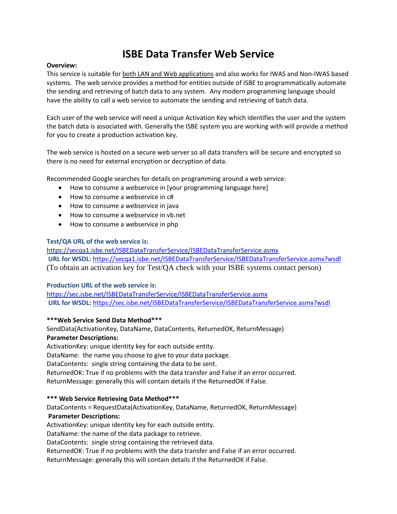# **ISBE Data Transfer Web Service**

#### **Overview:**

This service is suitable for both LAN and Web applications and also works for IWAS and Non-IWAS based systems. The web service provides a method for entities outside of ISBE to programmatically automate the sending and retrieving of batch data to any system. Any modern programming language should have the ability to call a web service to automate the sending and retrieving of batch data.

Each user of the web service will need a unique Activation Key which identifies the user and the system the batch data is associated with. Generally the ISBE system you are working with will provide a method for you to create a production activation key.

The web service is hosted on a secure web server so all data transfers will be secure and encrypted so there is no need for external encryption or decryption of data.

Recommended Google searches for details on programming around a web service:

- How to consume a webservice in [your programming language here]
- How to consume a webservice in c#
- How to consume a webservice in java
- How to consume a webservice in vb.net
- How to consume a webservice in php

#### **Test/QA URL of the web service is:**

<https://secqa1.isbe.net/ISBEDataTransferService/ISBEDataTransferService.asmx> **URL for WSDL:** <https://secqa1.isbe.net/ISBEDataTransferService/ISBEDataTransferService.asmx?wsdl> (To obtain an activation key for Test/QA check with your ISBE systems contact person)

## **Production URL of the web service is:**

<https://sec.isbe.net/ISBEDataTransferService/ISBEDataTransferService.asmx> **URL for WSDL:** <https://sec.isbe.net/ISBEDataTransferService/ISBEDataTransferService.asmx?wsdl>

#### **\*\*\*Web Service Send Data Method\*\*\***

SendData(ActivationKey, DataName, DataContents, ReturnedOK, ReturnMessage) **Parameter Descriptions:**

ActivationKey: unique identity key for each outside entity.

DataName: the name you choose to give to your data package.

DataContents: single string containing the data to be sent.

ReturnedOK: True if no problems with the data transfer and False if an error occurred.

ReturnMessage: generally this will contain details if the ReturnedOK if False.

#### **\*\*\* Web Service Retrieving Data Method\*\*\***

DataContents = RequestData(ActivationKey, DataName, ReturnedOK, ReturnMessage)

# **Parameter Descriptions:**

ActivationKey: unique identity key for each outside entity.

DataName: the name of the data package to retrieve.

DataContents: single string containing the retrieved data.

ReturnedOK: True if no problems with the data transfer and False if an error occurred. ReturnMessage: generally this will contain details if the ReturnedOK if False.